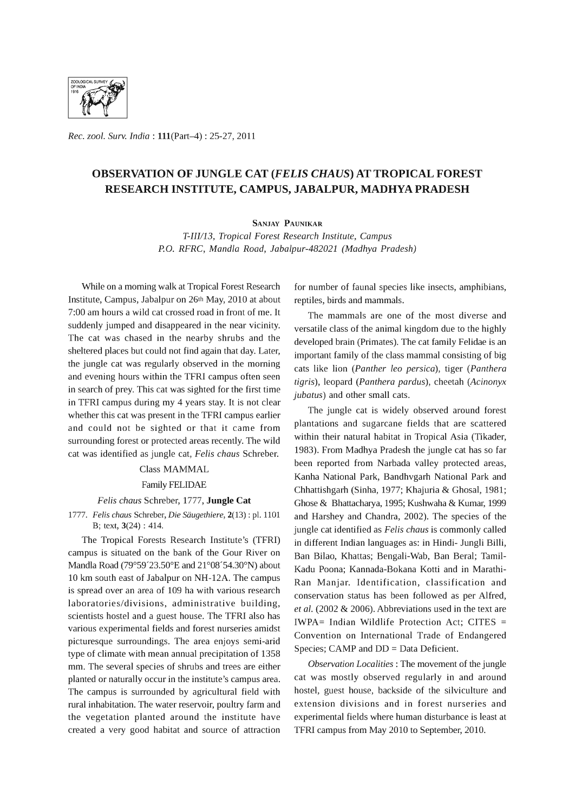

*Rec. zool. Surv. India:* l11(Part-4) : 25-27, 2011

# **OBSERVATION OF JUNGLE CAT** *(FELIS CHAUS)* **AT TROPICAL FOREST RESEARCH INSTITUTE, CAMPUS, JABALPUR, MADHYA PRADESH**

SANJAY PAUNIKAR

*T-IIII13, Tropical Forest Research Institute, Campus P.O. RFRC, Mandla Road, Jabalpur-482021 (Madhya Pradesh)* 

While on a morning walk at Tropical Forest Research Institute, Campus, Jabalpur on 26th May, 2010 at about 7:00 am hours a wild cat crossed road in front of me. It suddenly jumped and disappeared in the near vicinity. The cat was chased in the nearby shrubs and the sheltered places but could not find again that day. Later, the jungle cat was regularly observed in the morning and evening hours within the TFRI campus often seen in search of prey. This cat was sighted for the first time in TFRI campus during my 4 years stay. It is not clear whether this cat was present in the TFRI campus earlier and could not be sighted or that it came from surrounding forest or protected areas recently. The wild cat was identified as jungle cat, *Felis chaus* Schreber.

## Class MAMMAL

### Family FELIDAE

#### *Felis chaus* Schreber, 1777, **Jungle Cat**

*1777. Felis chaus* Schreber, Die *Saugethiere,* 2(13) : pI. 1101 B; text, 3(24) : 414.

The Tropical Forests Research Institute's (TFRI) campus is situated on the bank of the Gour River on Mandla Road (79°59'23.50°E and 21°08'54.30°N) about 10 km south east of Jabalpur on NH-12A. The campus is spread over an area of 109 ha with various research laboratories/divisions, administrative building, scientists hostel and a guest house. The TFRI also has various experimental fields and forest nurseries amidst picturesque surroundings. The area enjoys semi-arid type of climate with mean annual precipitation of 1358 mm. The several species of shrubs and trees are either planted or naturally occur in the institute's campus area. The campus is surrounded by agricultural field with rural inhabitation. The water reservoir, poultry farm and the vegetation planted around the institute have created a very good habitat and source of attraction

for number of faunal species like insects, amphibians, reptiles, birds and mammals.

The mammals are one of the most diverse and versatile class of the animal kingdom due to the highly developed brain (Primates). The cat family Felidae is an important family of the class mammal consisting of big cats like lion *(Panther leo persica),* tiger *(Panthera tigris),* leopard *(Panthera pardus),* cheetah *(Acinonyx jubatus)* and other small cats.

The jungle cat is widely observed around forest plantations and sugarcane fields that are scattered within their natural habitat in Tropical Asia (Tikader, 1983). From Madhya Pradesh the jungle cat has so far been reported from Narbada valley protected areas, Kanha National Park, Bandhvgarh National Park and Chhattishgarh (Sinha, 1977; Khajuria & Ghosal, 1981; Ghose & Bhattacharya, 1995; Kushwaha & Kumar, 1999 and Harshey and Chandra, 2002). The species of the jungle cat identified as *Felis chaus* is commonly called in different Indian languages as: in Hindi- Jungli Billi, Ban Bilao, Khattas; Bengali-Wab, Ban Beral; Tamil-Kadu Poona; Kannada-Bokana Kotti and in Marathi-Ran Manjar. Identification, classification and conservation status has been followed as per Alfred, *et al.* (2002 & 2006). Abbreviations used in the text are IWPA= Indian Wildlife Protection Act; CITES = Convention on International Trade of Endangered Species; CAMP and DD = Data Deficient.

*Observation Localities:* The movement of the jungle cat was mostly observed regularly in and around hostel, guest house, backside of the silviculture and extension divisions and in forest nurseries and experimental fields where human disturbance is least at TFRI campus from May 2010 to September, 2010.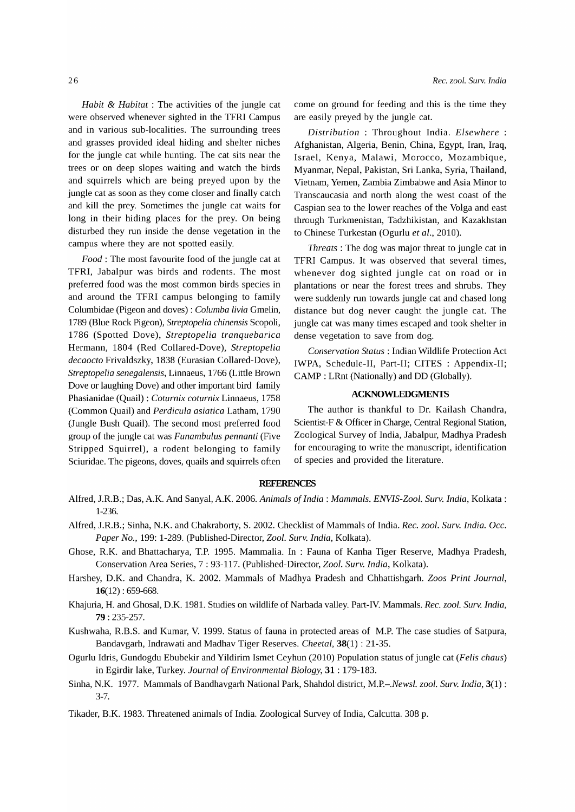*Habit* & *Habitat:* The activities of the jungle cat were observed whenever sighted in the TFRI Campus and in various sub-localities. The surrounding trees and grasses provided ideal hiding and shelter niches for the jungle cat while hunting. The cat sits near the trees or on deep slopes waiting and watch the birds and squirrels which are being preyed upon by the jungle cat as soon as they come closer and finally catch and kill the prey. Sometimes the jungle cat waits for long in their hiding places for the prey. On being disturbed they run inside the dense vegetation in the campus where they are not spotted easily.

*Food:* The most favourite food of the jungle cat at TFRI, labalpur was birds and rodents. The most preferred food was the most common birds species in and around the TFRI campus belonging to family Columbidae (Pigeon and doves) : *Columba livia* Gmelin, 1789 (Blue Rock Pigeon), *Streptopelia chinensis* Scopoli, 1786 (Spotted Dove), *Streptopelia tranquebarica*  Hermann, 1804 (Red Collared-Dove), *Streptopelia decaocto* Frivaldszky, 1838 (Eurasian Collared-Dove), *Streptopelia senegalensis,* Linnaeus, 1766 (Little Brown Dove or laughing Dove) and other important bird family Phasianidae (Quail) : *Coturnix coturnix* Linnaeus, 1758 (Common Quail) and *Perdicula asiatica* Latham, 1790 (Jungle Bush Quail). The second most preferred food group of the jungle cat was *Funambulus pennanti* (Five Stripped Squirrel), a rodent belonging to family Sciuridae. The pigeons, doves, quails and squirrels often come on ground for feeding and this is the time they are easily preyed by the jungle cat.

*Distribution* : Throughout India. *Elsewhere* : Afghanistan, Algeria, Benin, China, Egypt, Iran, Iraq, Israel, Kenya, Malawi, Morocco, Mozambique, Myanmar, Nepal, Pakistan, Sri Lanka, Syria, Thailand, Vietnam, Yemen, Zambia Zimbabwe and Asia Minor to Transcaucasia and north along the west coast of the Caspian sea to the lower reaches of the Volga and east through Turkmenistan, Tadzhikistan, and Kazakhstan to Chinese Turkestan (Ogurlu *et aI., 2010).* 

*Threats:* The dog was major threat to jungle cat in TFRI Campus. It was observed that several times, whenever dog sighted jungle cat on road or in plantations or near the forest trees and shrubs. They were suddenly run towards jungle cat and chased long distance but dog never caught the jungle cat. The jungle cat was many times escaped and took shelter in dense vegetation to save from dog.

*Conservation Status:* Indian Wildlife Protection Act IWPA, Schedule-II, Part-II; CITES : Appendix-II; CAMP: LRnt (Nationally) and DD (Globally).

## **ACKNOWLEDGMENTS**

The author is thankful to Dr. Kailash Chandra, Scientist-F & Officer in Charge, Central Regional Station, Zoological Survey of India, labalpur, Madhya Pradesh for encouraging to write the manuscript, identification of species and provided the literature.

## **REFERENCES**

- Alfred, *l.R.B.;* Das, A.K. And Sanyal, A.K. 2006. *Animals* of *India: Mammals. ENVIS-Zool. Surv. India,* Kolkata : 1-236.
- Alfred, *l.R.B.;* Sinha, N.K. and Chakraborty, S. 2002. Checklist of Mammals of India. *Rec. zool. Surv. India. Gcc. Paper No.,* 199: 1-289. (Published-Director, *Zool. Surv. India,* Kolkata).
- Ghose, R.K. and Bhattacharya, T.P. 1995. Mammalia. In : Fauna of Kanha Tiger Reserve, Madhya Pradesh, Conservation Area Series, 7: 93-117. (Published-Director, *Zool. Surv. India,* Kolkata).
- Harshey, D.K. and Chandra, K. 2002. Mammals of Madhya Pradesh and Chhattishgarh. *Zoos Print Journal,*  16(12) : 659-668.
- Khajuria, H. and Ghosal, D.K. 1981. Studies on wildlife of Narbada valley. Part-IV. Mammals. *Rec. zool. Surv. India,*  79: 235-257.
- Kushwaha, R.B.S. and Kumar, V. 1999. Status of fauna in protected areas of M.P. The case studies of Satpura, Bandavgarh, Indrawati and Madhav Tiger Reserves. *Cheetal,* 38(1) : 21-35.
- Ogurlu Idris, Gundogdu Ebubekir and Yildirim Ismet Ceyhun (2010) Population status of jungle cat *(Felis chaus)*  in Egirdir lake, Turkey. *Journal* of *Environmental Biology,* **31** : 179-183.
- Sinha, N.K. 1977. Mammals of Bandhavgarh National Park, Shahdol district, *M.P.-.Newsl. zool. Surv. India,* 3(1) : 3-7.
- Tikader, B.K. 1983. Threatened animals of India. Zoological Survey of India, Calcutta. 308 p.